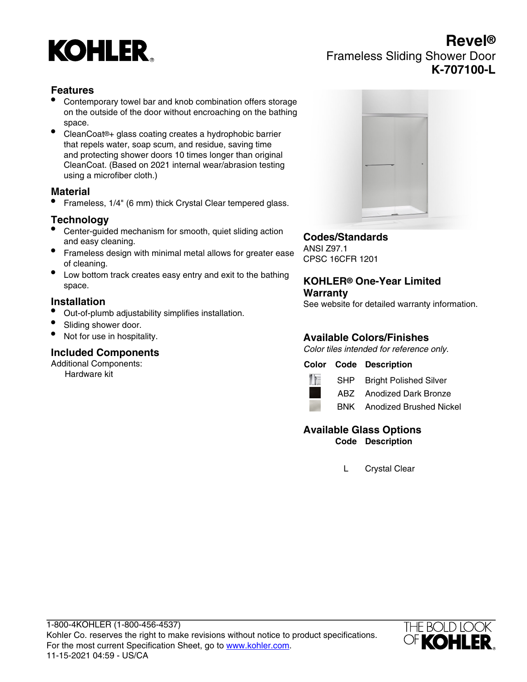

# **Revel®** Frameless Sliding Shower Door **K-707100-L**

# **Features**

- Contemporary towel bar and knob combination offers storage on the outside of the door without encroaching on the bathing space.
- CleanCoat®+ glass coating creates a hydrophobic barrier that repels water, soap scum, and residue, saving time and protecting shower doors 10 times longer than original CleanCoat. (Based on 2021 internal wear/abrasion testing using a microfiber cloth.)

#### **Material**

• Frameless, 1/4" (6 mm) thick Crystal Clear tempered glass.

# **Technology**

- Center-guided mechanism for smooth, quiet sliding action and easy cleaning.
- Frameless design with minimal metal allows for greater ease of cleaning.
- Low bottom track creates easy entry and exit to the bathing space.

#### **Installation**

- Out-of-plumb adjustability simplifies installation.
- Sliding shower door.
- Not for use in hospitality.

#### **Included Components**

Additional Components:

Hardware kit



### **Codes/Standards**

ANSI Z97.1 CPSC 16CFR 1201

#### **KOHLER® One-Year Limited Warranty**

See website for detailed warranty information.

# **Available Colors/Finishes**

Color tiles intended for reference only.

#### **Color Code Description**



SHP Bright Polished Silver

ABZ Anodized Dark Bronze

BNK Anodized Brushed Nickel

#### **Available Glass Options Code Description**

L Crystal Clear